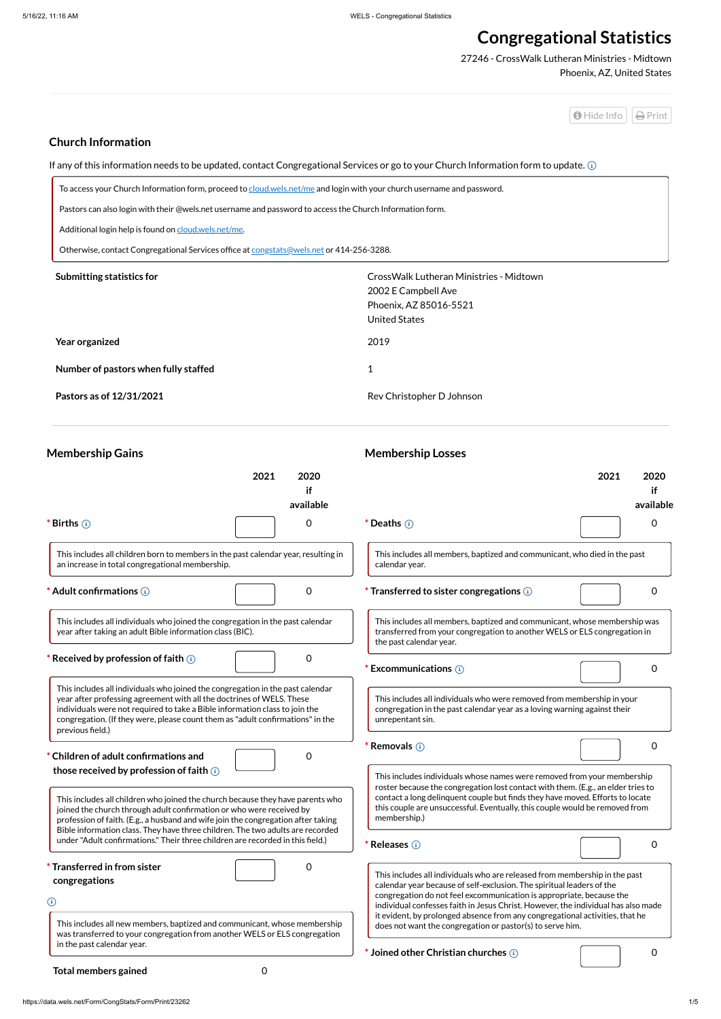To access your Church Information form, proceed to [cloud.wels.net/me](https://cloud.wels.net/me) and login with your church username and password. Pastors can also login with their @wels.net username and password to access the Church Information form. Additional login help is found on [cloud.wels.net/me](https://cloud.wels.net/me). Otherwise, contact Congregational Services office at [congstats@wels.net](mailto:congstats@wels.net) or 414-256-3288.

| Submitting statistics for            | CrossWalk Lutheran Ministries - Midtown |
|--------------------------------------|-----------------------------------------|
|                                      | 2002 E Campbell Ave                     |
|                                      | Phoenix, AZ 85016-5521                  |
|                                      | <b>United States</b>                    |
| Year organized                       | 2019                                    |
| Number of pastors when fully staffed | 1                                       |
| Pastors as of 12/31/2021             | Rev Christopher D Johnson               |

# **Congregational Statistics**

27246 - CrossWalk Lutheran Ministries - Midtown Phoenix, AZ, United States



# **Church Information**

If any of this information needs to be updated, contact Congregational Services or go to your Church Information form to update.

This includes all children who joined the church because they have parents who joined the church through adult confirmation or who were received by profession of faith. (E.g., a husband and wife join the congregation after taking Bible information class. They have three children. The two adults are recorded under "Adult confirmations." Their three children are recorded in this field.)

This includes all new members, baptized and communicant, whose membership was transferred to your congregation from another WELS or ELS congregation in the past calendar year.

### **Membership Gains**

#### **those received by profession of faith**

| 2021                                                                                                                                                                                                                                                                                                                                         | 2020<br>if<br>available | 2021                                                                                                                                                                              | 2020<br>if<br>available |
|----------------------------------------------------------------------------------------------------------------------------------------------------------------------------------------------------------------------------------------------------------------------------------------------------------------------------------------------|-------------------------|-----------------------------------------------------------------------------------------------------------------------------------------------------------------------------------|-------------------------|
| * Births $(i)$                                                                                                                                                                                                                                                                                                                               | 0                       | * Deaths $(i)$                                                                                                                                                                    | $\Omega$                |
| This includes all children born to members in the past calendar year, resulting in<br>an increase in total congregational membership.                                                                                                                                                                                                        |                         | This includes all members, baptized and communicant, who died in the past<br>calendar year.                                                                                       |                         |
| * Adult confirmations $\left( \cdot \right)$                                                                                                                                                                                                                                                                                                 | 0                       | * Transferred to sister congregations (i)                                                                                                                                         | $\Omega$                |
| This includes all individuals who joined the congregation in the past calendar<br>year after taking an adult Bible information class (BIC).                                                                                                                                                                                                  |                         | This includes all members, baptized and communicant, whose membership was<br>transferred from your congregation to another WELS or ELS congregation in<br>the past calendar year. |                         |
| * Received by profession of faith $\circ$                                                                                                                                                                                                                                                                                                    | 0                       | * Excommunications (i)                                                                                                                                                            | $\Omega$                |
| This includes all individuals who joined the congregation in the past calendar<br>year after professing agreement with all the doctrines of WELS. These<br>individuals were not required to take a Bible information class to join the<br>congregation. (If they were, please count them as "adult confirmations" in the<br>previous field.) |                         | This includes all individuals who were removed from membership in your<br>congregation in the past calendar year as a loving warning against their<br>unrepentant sin.            |                         |
| * Children of adult confirmations and<br>those received by profession of faith $\odot$                                                                                                                                                                                                                                                       | 0                       | * Removals $(i)$                                                                                                                                                                  | 0                       |

# **\* Transferred in from sister congregations**

### $\bigcirc$

0

### **Total members gained** 0

This includes individuals whose names were removed from your membership roster because the congregation lost contact with them. (E.g., an elder tries to contact a long delinquent couple but finds they have moved. Efforts to locate this couple are unsuccessful. Eventually, this couple would be removed from membership.)

This includes all individuals who are released from membership in the past calendar year because of self-exclusion. The spiritual leaders of the congregation do not feel excommunication is appropriate, because the individual confesses faith in Jesus Christ. However, the individual has also made it evident, by prolonged absence from any congregational activities, that he does not want the congregation or pastor(s) to serve him.

# **Membership Losses**

**\* Releases** 0



**\* Joined other Christian churches** 0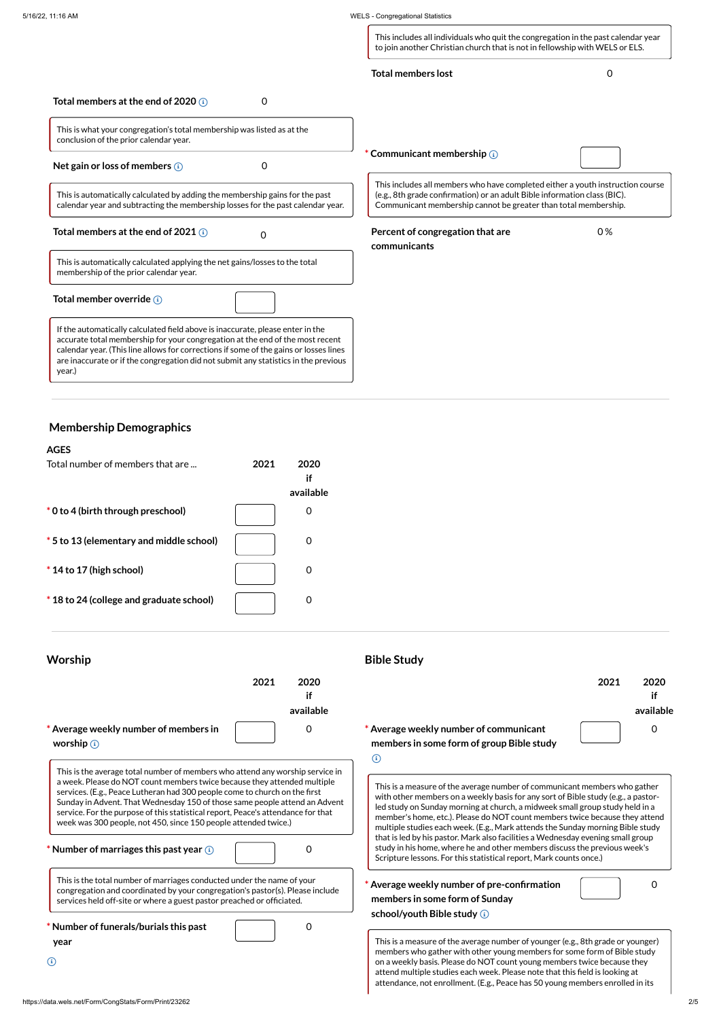This includes all individuals who quit the congregation in the past calendar year to join another Christian church that is not in fellowship with WELS or ELS.

| This is what your congregation's total membership was listed as at the<br>conclusion of the prior calendar year.                                                                                                                                                                                                                                          |                                                                                                                                                                                                                                |
|-----------------------------------------------------------------------------------------------------------------------------------------------------------------------------------------------------------------------------------------------------------------------------------------------------------------------------------------------------------|--------------------------------------------------------------------------------------------------------------------------------------------------------------------------------------------------------------------------------|
| Net gain or loss of members $\bigcirc$<br>O                                                                                                                                                                                                                                                                                                               | $^*$ Communicant membership $\circledast$                                                                                                                                                                                      |
| This is automatically calculated by adding the membership gains for the past<br>calendar year and subtracting the membership losses for the past calendar year.                                                                                                                                                                                           | This includes all members who have completed either a youth instruction course<br>(e.g., 8th grade confirmation) or an adult Bible information class (BIC).<br>Communicant membership cannot be greater than total membership. |
| Total members at the end of 2021 $(i)$<br>∩                                                                                                                                                                                                                                                                                                               | 0%<br>Percent of congregation that are<br>communicants                                                                                                                                                                         |
| This is automatically calculated applying the net gains/losses to the total<br>membership of the prior calendar year.                                                                                                                                                                                                                                     |                                                                                                                                                                                                                                |
| Total member override (i)                                                                                                                                                                                                                                                                                                                                 |                                                                                                                                                                                                                                |
| If the automatically calculated field above is inaccurate, please enter in the<br>accurate total membership for your congregation at the end of the most recent<br>calendar year. (This line allows for corrections if some of the gains or losses lines<br>are inaccurate or if the congregation did not submit any statistics in the previous<br>year.) |                                                                                                                                                                                                                                |

### **Membership Demographics**

#### **AGES**

| Total number of members that are        | 2021 | 2020<br>if<br>available |
|-----------------------------------------|------|-------------------------|
|                                         |      |                         |
| * 0 to 4 (birth through preschool)      |      |                         |
| *5 to 13 (elementary and middle school) |      |                         |
| $*$ 14 to 17 (high school)              |      |                         |
| *18 to 24 (college and graduate school) |      |                         |

This is the average total number of members who attend any worship service in a week. Please do NOT count members twice because they attended multiple services. (E.g., Peace Lutheran had 300 people come to church on the first Sunday in Advent. That Wednesday 150 of those same people attend an Advent service. For the purpose of this statistical report, Peace's attendance for that week was 300 people, not 450, since 150 people attended twice.)

This is the total number of marriages conducted under the name of your congregation and coordinated by your congregation's pastor(s). Please include services held off-site or where a guest pastor preached or officiated.

**\* Number of marriages this past year** 0

**\* Number of funerals/burials this past**



**year**

 $\bigodot$ 

0

This is a measure of the average number of communicant members who gather with other members on a weekly basis for any sort of Bible study (e.g., a pastorled study on Sunday morning at church, a midweek small group study held in a member's home, etc.). Please do NOT count members twice because they attend multiple studies each week. (E.g., Mark attends the Sunday morning Bible study that is led by his pastor. Mark also facilities a Wednesday evening small group study in his home, where he and other members discuss the previous week's Scripture lessons. For this statistical report, Mark counts once.)

#### **Worship 2021 2020 if available \* Average weekly number of members in worship** 0 **Bible Study 2021 2020 if available \* Average weekly number of communicant members in some form of group Bible study**  $\odot$ 0

This is a measure of the average number of younger (e.g., 8th grade or younger) members who gather with other young members for some form of Bible study on a weekly basis. Please do NOT count young members twice because they attend multiple studies each week. Please note that this field is looking at attendance, not enrollment. (E.g., Peace has 50 young members enrolled in its

**\* Average weekly number of pre-confirmation members in some form of Sunday school/youth Bible study**

0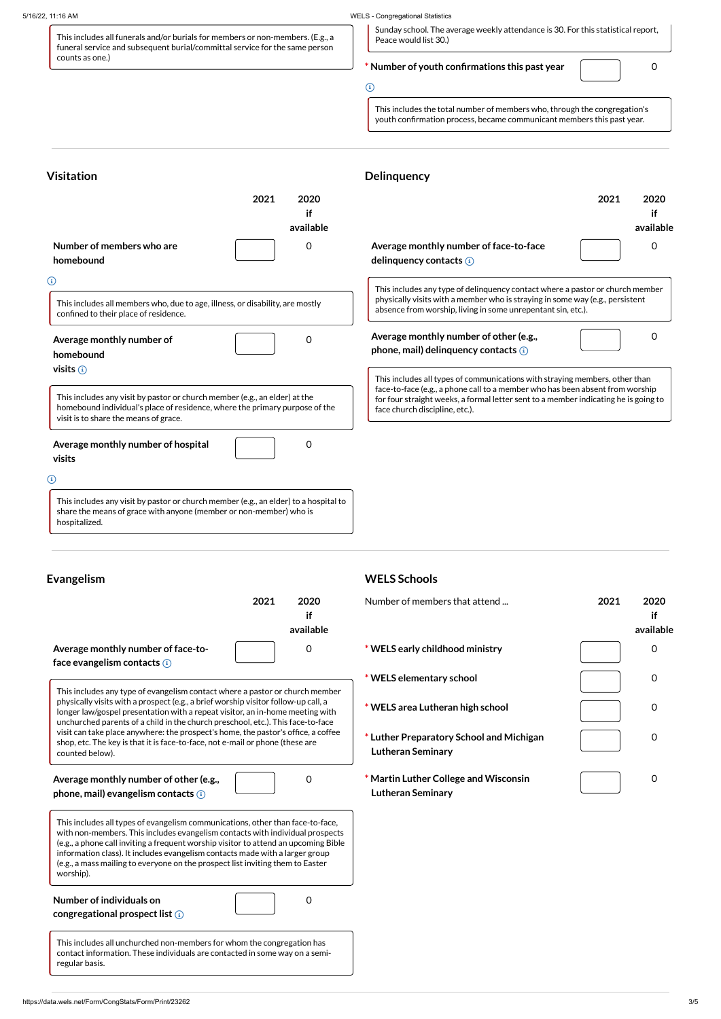| 5/16/22, 11:16 AM                                                                                                                                                                                                    | <b>WELS - Congregational Statistics</b>                                                                                                                                                                                                                                               |
|----------------------------------------------------------------------------------------------------------------------------------------------------------------------------------------------------------------------|---------------------------------------------------------------------------------------------------------------------------------------------------------------------------------------------------------------------------------------------------------------------------------------|
| This includes all funerals and/or burials for members or non-members. (E.g., a<br>funeral service and subsequent burial/committal service for the same person<br>counts as one.)                                     | Sunday school. The average weekly attendance is 30. For this statistical report,<br>Peace would list 30.)<br>* Number of youth confirmations this past year<br>$\Omega$                                                                                                               |
|                                                                                                                                                                                                                      | $\odot$                                                                                                                                                                                                                                                                               |
|                                                                                                                                                                                                                      | This includes the total number of members who, through the congregation's<br>youth confirmation process, became communicant members this past year.                                                                                                                                   |
| <b>Visitation</b>                                                                                                                                                                                                    | <b>Delinquency</b>                                                                                                                                                                                                                                                                    |
| 2021<br>2020<br>if<br>available                                                                                                                                                                                      | 2021<br>2020<br>if<br>available                                                                                                                                                                                                                                                       |
| Number of members who are<br>0<br>homebound                                                                                                                                                                          | Average monthly number of face-to-face<br>$\Omega$<br>delinquency contacts $\bigcirc$                                                                                                                                                                                                 |
| $\odot$<br>This includes all members who, due to age, illness, or disability, are mostly<br>confined to their place of residence.                                                                                    | This includes any type of delinquency contact where a pastor or church member<br>physically visits with a member who is straying in some way (e.g., persistent<br>absence from worship, living in some unrepentant sin, etc.).                                                        |
| $\mathbf 0$<br>Average monthly number of<br>homebound                                                                                                                                                                | Average monthly number of other (e.g.,<br>0<br>phone, mail) delinquency contacts $(i)$                                                                                                                                                                                                |
| visits $\odot$<br>This includes any visit by pastor or church member (e.g., an elder) at the<br>homebound individual's place of residence, where the primary purpose of the<br>visit is to share the means of grace. | This includes all types of communications with straying members, other than<br>face-to-face (e.g., a phone call to a member who has been absent from worship<br>for four straight weeks, a formal letter sent to a member indicating he is going to<br>face church discipline, etc.). |
| Average monthly number of hospital<br>0<br>visits                                                                                                                                                                    |                                                                                                                                                                                                                                                                                       |
| $\odot$                                                                                                                                                                                                              |                                                                                                                                                                                                                                                                                       |
| This includes any visit by pastor or church member (e.g., an elder) to a hospital to<br>share the means of grace with anyone (member or non-member) who is<br>hospitalized.                                          |                                                                                                                                                                                                                                                                                       |

**Number of individuals on congregational prospect list**  $\odot$ 

This includes any type of evangelism contact where a pastor or church member physically visits with a prospect (e.g., a brief worship visitor follow-up call, a longer law/gospel presentation with a repeat visitor, an in-home meeting with unchurched parents of a child in the church preschool, etc.). This face-to-face visit can take place anywhere: the prospect's home, the pastor's office, a coffee shop, etc. The key is that it is face-to-face, not e-mail or phone (these are counted below).

This includes all types of evangelism communications, other than face-to-face, with non-members. This includes evangelism contacts with individual prospects (e.g., a phone call inviting a frequent worship visitor to attend an upcoming Bible information class). It includes evangelism contacts made with a larger group (e.g., a mass mailing to everyone on the prospect list inviting them to Easter worship).

This includes all unchurched non-members for whom the congregation has contact information. These individuals are contacted in some way on a semiregular basis.

## **Evangelism**



**Average monthly number of other (e.g., phone, mail) evangelism contacts**



0

0

### **WELS Schools**

| Number of members that attend                                        | 2021 | 2020<br>if<br>available |
|----------------------------------------------------------------------|------|-------------------------|
| * WELS early childhood ministry                                      |      |                         |
| * WELS elementary school                                             |      | Ω                       |
| * WELS area Lutheran high school                                     |      | O                       |
| * Luther Preparatory School and Michigan<br><b>Lutheran Seminary</b> |      | O                       |

**\* Martin Luther College and Wisconsin Lutheran Seminary**

0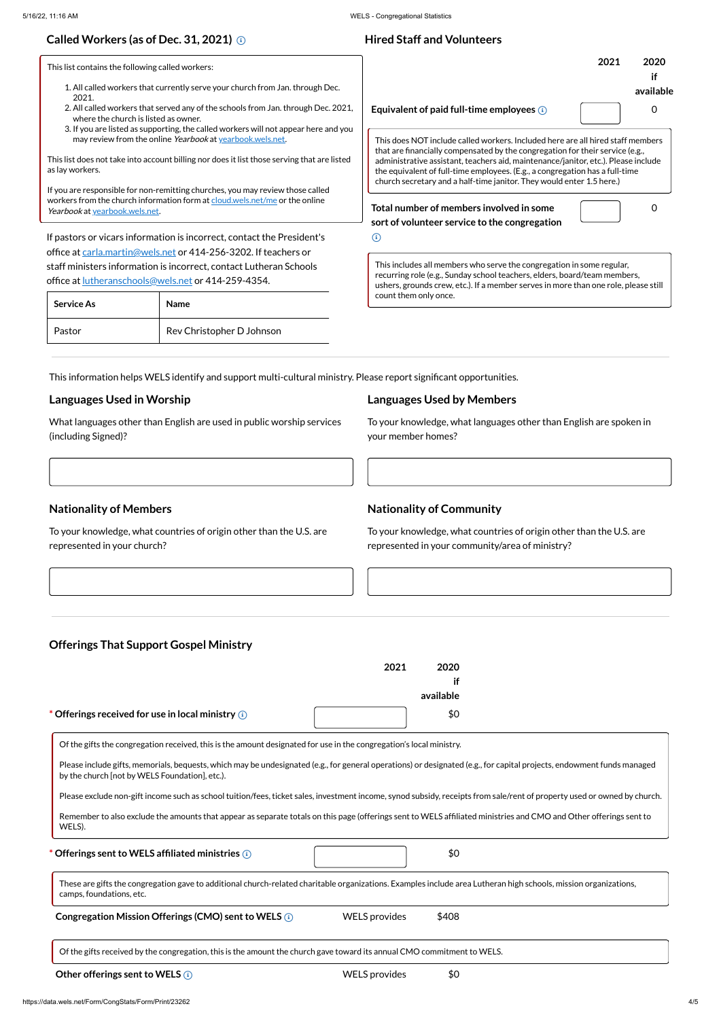Of the gifts the congregation received, this is the amount designated for use in the congregation's local ministry.

Please include gifts, memorials, bequests, which may be undesignated (e.g., for general operations) or designated (e.g., for capital projects, endowment funds managed

by the church [not by WELS Foundation], etc.).

Please exclude non-gift income such as school tuition/fees, ticket sales, investment income, synod subsidy, receipts from sale/rent of property used or owned by church.

- 1. All called workers that currently serve your church from Jan. through Dec. 2021.
- 2. All called workers that served any of the schools from Jan. through Dec. 2021, where the church is listed as owner.
- 3. If you are listed as supporting, the called workers will not appear here and you may review from the online Yearbook at [yearbook.wels.net.](https://yearbook.wels.net/)

Remember to also exclude the amounts that appear as separate totals on this page (offerings sent to WELS affiliated ministries and CMO and Other offerings sent to WELS).

If you are responsible for non-remitting churches, you may review those called workers from the church information form at [cloud.wels.net/me](https://cloud.wels.net/me) or the online Yearbook at [yearbook.wels.net.](https://yearbook.wels.net/)

If pastors or vicars information is incorrect, contact the President's office at [carla.martin@wels.net](mailto:carla.martin@wels.net) or 414-256-3202. If teachers or staff ministers information is incorrect, contact Lutheran Schools office at [lutheranschools@wels.net](mailto:lutheranschools@wels.net) or 414-259-4354.

Of the gifts received by the congregation, this is the amount the church gave toward its annual CMO commitment to WELS.

**Other offerings sent to WELS** (i) **All and the VELS** provides the sentence of the sense is the sense of the sense is the sense in the sense is the sense in the sense in the sense is the sense in the sense in the sense is

This list contains the following called workers:

This list does not take into account billing nor does it list those serving that are listed as lay workers.

# **Called Workers (as of Dec. 31, 2021)**

| <b>Service As</b> | <b>Name</b>               |
|-------------------|---------------------------|
| Pastor            | Rev Christopher D Johnson |

| * Offerings sent to WELS affiliated ministries $\bigcirc$                                                                                                                                    | YG. |  |
|----------------------------------------------------------------------------------------------------------------------------------------------------------------------------------------------|-----|--|
| These are gifts the congregation gave to additional church-related charitable organizations. Examples include area Lutheran high schools, mission organizations,<br>camps, foundations, etc. |     |  |

**Congregation Mission Offerings (CMO) sent to WELS <b>(i)** WELS provides \$408

|                                                                                                                                                                                                                                                                                                                                                                                                                 | 2021 | 2020<br>if<br>available |
|-----------------------------------------------------------------------------------------------------------------------------------------------------------------------------------------------------------------------------------------------------------------------------------------------------------------------------------------------------------------------------------------------------------------|------|-------------------------|
| Equivalent of paid full-time employees $\hat{a}$                                                                                                                                                                                                                                                                                                                                                                |      |                         |
| This does NOT include called workers. Included here are all hired staff members<br>that are financially compensated by the congregation for their service (e.g.,<br>administrative assistant, teachers aid, maintenance/janitor, etc.). Please include<br>the equivalent of full-time employees. (E.g., a congregation has a full-time<br>church secretary and a half-time janitor. They would enter 1.5 here.) |      |                         |
| Total number of members involved in some<br>sort of volunteer service to the congregation<br>Ŧ                                                                                                                                                                                                                                                                                                                  |      |                         |
| This includes all members who serve the congregation in some regular,<br>recurring role (e.g., Sunday school teachers, elders, board/team members,<br>ushers, grounds crew, etc.). If a member serves in more than one role, please still<br>count them only once.                                                                                                                                              |      |                         |

**Hired Staff and Volunteers**

This information helps WELS identify and support multi-cultural ministry. Please report significant opportunities.

### **Languages Used in Worship**

What languages other than English are used in public worship services (including Signed)?

### **Languages Used by Members**

To your knowledge, what languages other than English are spoken in your member homes?

### **Nationality of Members**

To your knowledge, what countries of origin other than the U.S. are represented in your church?

# **Nationality of Community**

To your knowledge, what countries of origin other than the U.S. are represented in your community/area of ministry?

## **Offerings That Support Gospel Ministry**

|                                                    | 2021 | 2020      |
|----------------------------------------------------|------|-----------|
|                                                    |      |           |
|                                                    |      | available |
| * Offerings received for use in local ministry (i) |      | \$0       |